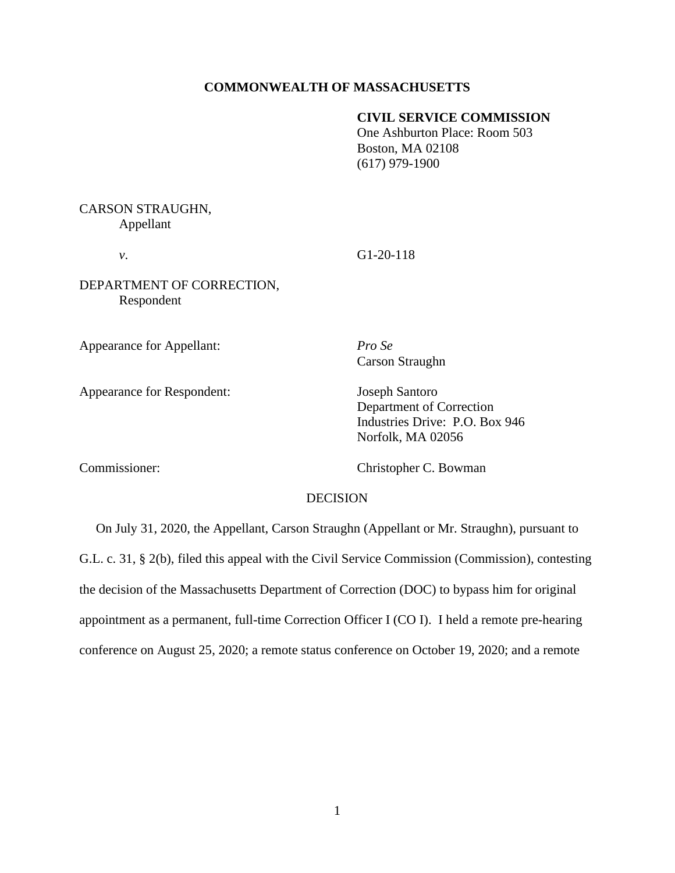### **COMMONWEALTH OF MASSACHUSETTS**

## **CIVIL SERVICE COMMISSION**

One Ashburton Place: Room 503 Boston, MA 02108 (617) 979-1900

# CARSON STRAUGHN, Appellant

*v*. G1-20-118

DEPARTMENT OF CORRECTION, Respondent

Appearance for Appellant: *Pro Se*

Appearance for Respondent: Joseph Santoro

Carson Straughn

Department of Correction Industries Drive: P.O. Box 946 Norfolk, MA 02056

Commissioner: Christopher C. Bowman

## DECISION

 On July 31, 2020, the Appellant, Carson Straughn (Appellant or Mr. Straughn), pursuant to G.L. c. 31, § 2(b), filed this appeal with the Civil Service Commission (Commission), contesting the decision of the Massachusetts Department of Correction (DOC) to bypass him for original appointment as a permanent, full-time Correction Officer I (CO I). I held a remote pre-hearing conference on August 25, 2020; a remote status conference on October 19, 2020; and a remote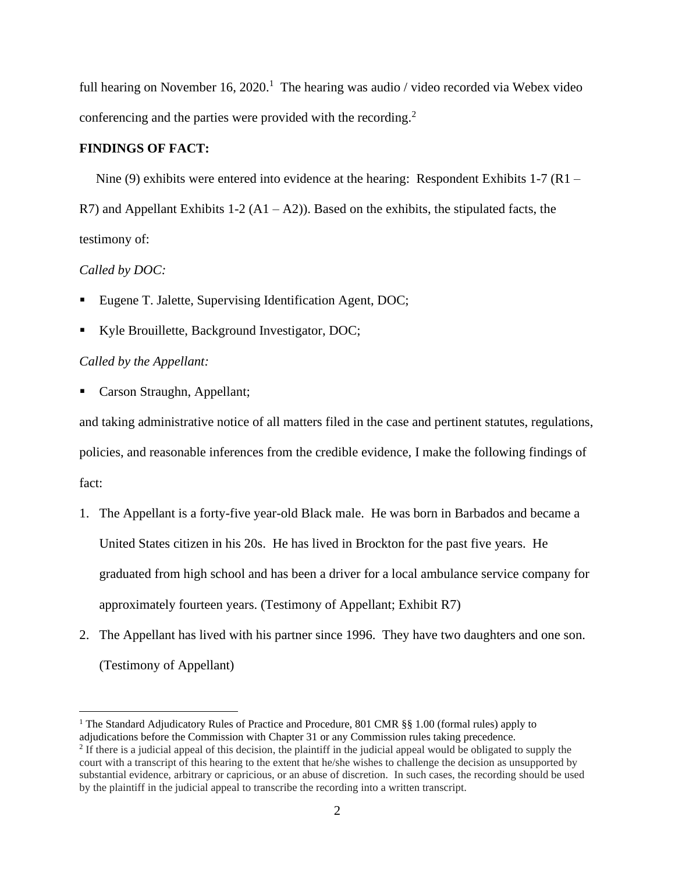full hearing on November 16, 2020.<sup>1</sup> The hearing was audio / video recorded via Webex video conferencing and the parties were provided with the recording. $2$ 

#### **FINDINGS OF FACT:**

Nine (9) exhibits were entered into evidence at the hearing: Respondent Exhibits 1-7  $(R1 -$ R7) and Appellant Exhibits  $1-2(A1 - A2)$ . Based on the exhibits, the stipulated facts, the testimony of:

### *Called by DOC:*

- Eugene T. Jalette, Supervising Identification Agent, DOC;
- Kyle Brouillette, Background Investigator, DOC;

### *Called by the Appellant:*

■ Carson Straughn, Appellant;

and taking administrative notice of all matters filed in the case and pertinent statutes, regulations, policies, and reasonable inferences from the credible evidence, I make the following findings of fact:

- 1. The Appellant is a forty-five year-old Black male. He was born in Barbados and became a United States citizen in his 20s. He has lived in Brockton for the past five years. He graduated from high school and has been a driver for a local ambulance service company for approximately fourteen years. (Testimony of Appellant; Exhibit R7)
- 2. The Appellant has lived with his partner since 1996. They have two daughters and one son. (Testimony of Appellant)

<sup>&</sup>lt;sup>1</sup> The Standard Adjudicatory Rules of Practice and Procedure, 801 CMR  $\S$ § 1.00 (formal rules) apply to adjudications before the Commission with Chapter 31 or any Commission rules taking precedence.

 $<sup>2</sup>$  If there is a judicial appeal of this decision, the plaintiff in the judicial appeal would be obligated to supply the</sup> court with a transcript of this hearing to the extent that he/she wishes to challenge the decision as unsupported by substantial evidence, arbitrary or capricious, or an abuse of discretion. In such cases, the recording should be used by the plaintiff in the judicial appeal to transcribe the recording into a written transcript.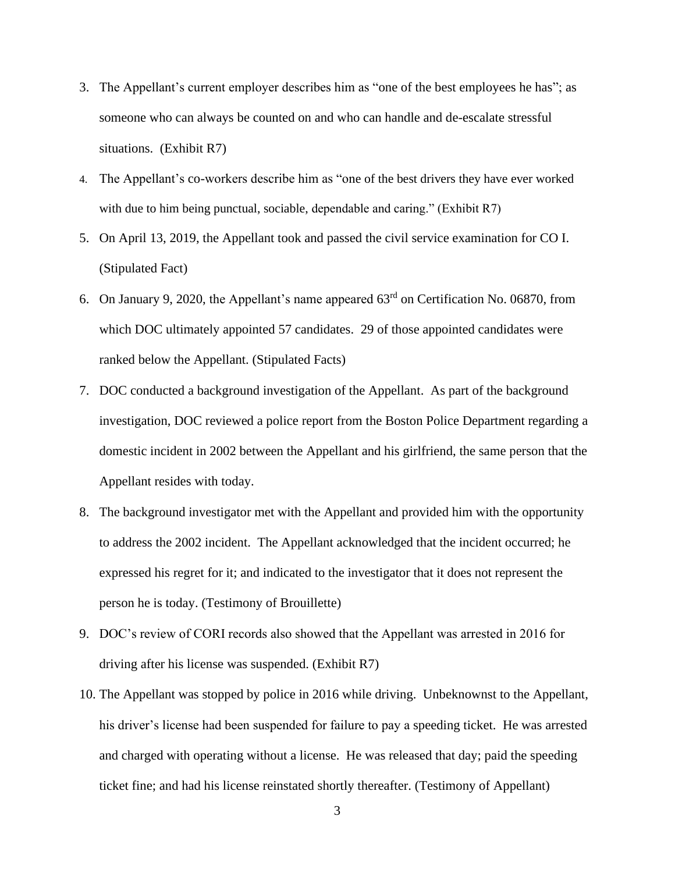- 3. The Appellant's current employer describes him as "one of the best employees he has"; as someone who can always be counted on and who can handle and de-escalate stressful situations. (Exhibit R7)
- 4. The Appellant's co-workers describe him as "one of the best drivers they have ever worked with due to him being punctual, sociable, dependable and caring." (Exhibit R7)
- 5. On April 13, 2019, the Appellant took and passed the civil service examination for CO I. (Stipulated Fact)
- 6. On January 9, 2020, the Appellant's name appeared 63rd on Certification No. 06870, from which DOC ultimately appointed 57 candidates. 29 of those appointed candidates were ranked below the Appellant. (Stipulated Facts)
- 7. DOC conducted a background investigation of the Appellant. As part of the background investigation, DOC reviewed a police report from the Boston Police Department regarding a domestic incident in 2002 between the Appellant and his girlfriend, the same person that the Appellant resides with today.
- 8. The background investigator met with the Appellant and provided him with the opportunity to address the 2002 incident. The Appellant acknowledged that the incident occurred; he expressed his regret for it; and indicated to the investigator that it does not represent the person he is today. (Testimony of Brouillette)
- 9. DOC's review of CORI records also showed that the Appellant was arrested in 2016 for driving after his license was suspended. (Exhibit R7)
- 10. The Appellant was stopped by police in 2016 while driving. Unbeknownst to the Appellant, his driver's license had been suspended for failure to pay a speeding ticket. He was arrested and charged with operating without a license. He was released that day; paid the speeding ticket fine; and had his license reinstated shortly thereafter. (Testimony of Appellant)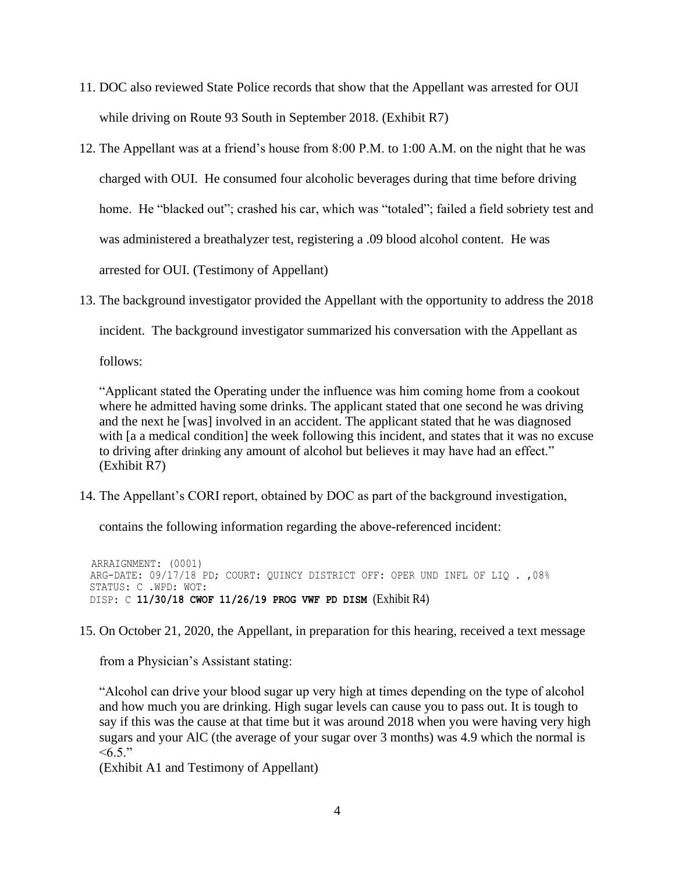- 11. DOC also reviewed State Police records that show that the Appellant was arrested for OUI while driving on Route 93 South in September 2018. (Exhibit R7)
- 12. The Appellant was at a friend's house from 8:00 P.M. to 1:00 A.M. on the night that he was charged with OUI. He consumed four alcoholic beverages during that time before driving home. He "blacked out"; crashed his car, which was "totaled"; failed a field sobriety test and was administered a breathalyzer test, registering a .09 blood alcohol content. He was arrested for OUI. (Testimony of Appellant)
- 13. The background investigator provided the Appellant with the opportunity to address the 2018

incident. The background investigator summarized his conversation with the Appellant as

follows:

"Applicant stated the Operating under the influence was him coming home from a cookout where he admitted having some drinks. The applicant stated that one second he was driving and the next he [was] involved in an accident. The applicant stated that he was diagnosed with [a a medical condition] the week following this incident, and states that it was no excuse to driving after drinking any amount of alcohol but believes it may have had an effect." (Exhibit R7)

14. The Appellant's CORI report, obtained by DOC as part of the background investigation,

contains the following information regarding the above-referenced incident:

 ARRAIGNMENT: (0001) ARG-DATE: 09/17/18 PD; COURT: QUINCY DISTRICT OFF: OPER UND INFL OF LIQ . ,08% STATUS: C .WPD: WOT: DISP: C **11/30/18 CWOF 11/26/19 PROG VWF PD DISM** (Exhibit R4)

15. On October 21, 2020, the Appellant, in preparation for this hearing, received a text message

from a Physician's Assistant stating:

"Alcohol can drive your blood sugar up very high at times depending on the type of alcohol and how much you are drinking. High sugar levels can cause you to pass out. It is tough to say if this was the cause at that time but it was around 2018 when you were having very high sugars and your AlC (the average of your sugar over 3 months) was 4.9 which the normal is  $< 6.5$ ."

(Exhibit A1 and Testimony of Appellant)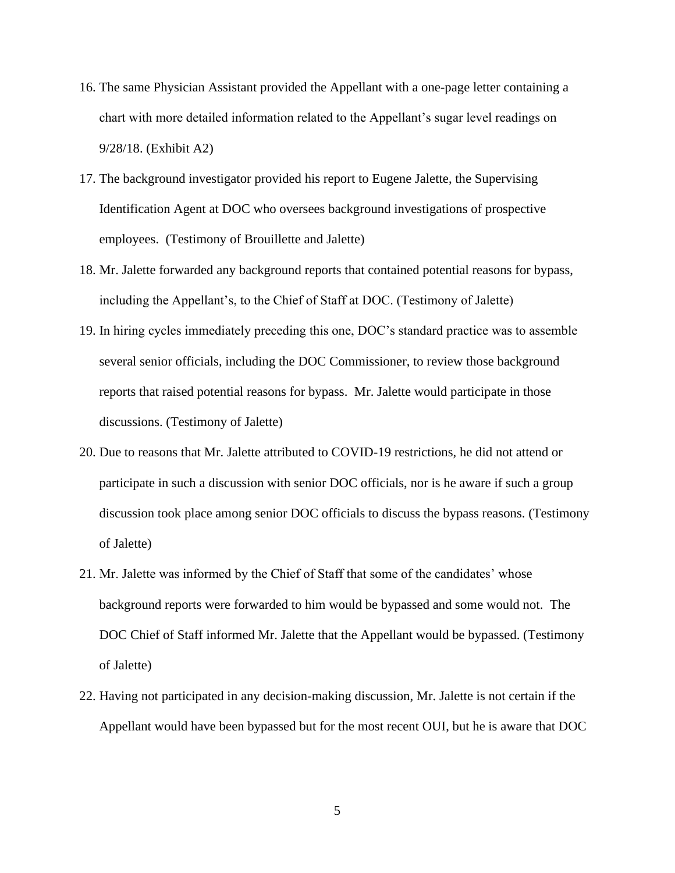- 16. The same Physician Assistant provided the Appellant with a one-page letter containing a chart with more detailed information related to the Appellant's sugar level readings on 9/28/18. (Exhibit A2)
- 17. The background investigator provided his report to Eugene Jalette, the Supervising Identification Agent at DOC who oversees background investigations of prospective employees. (Testimony of Brouillette and Jalette)
- 18. Mr. Jalette forwarded any background reports that contained potential reasons for bypass, including the Appellant's, to the Chief of Staff at DOC. (Testimony of Jalette)
- 19. In hiring cycles immediately preceding this one, DOC's standard practice was to assemble several senior officials, including the DOC Commissioner, to review those background reports that raised potential reasons for bypass. Mr. Jalette would participate in those discussions. (Testimony of Jalette)
- 20. Due to reasons that Mr. Jalette attributed to COVID-19 restrictions, he did not attend or participate in such a discussion with senior DOC officials, nor is he aware if such a group discussion took place among senior DOC officials to discuss the bypass reasons. (Testimony of Jalette)
- 21. Mr. Jalette was informed by the Chief of Staff that some of the candidates' whose background reports were forwarded to him would be bypassed and some would not. The DOC Chief of Staff informed Mr. Jalette that the Appellant would be bypassed. (Testimony of Jalette)
- 22. Having not participated in any decision-making discussion, Mr. Jalette is not certain if the Appellant would have been bypassed but for the most recent OUI, but he is aware that DOC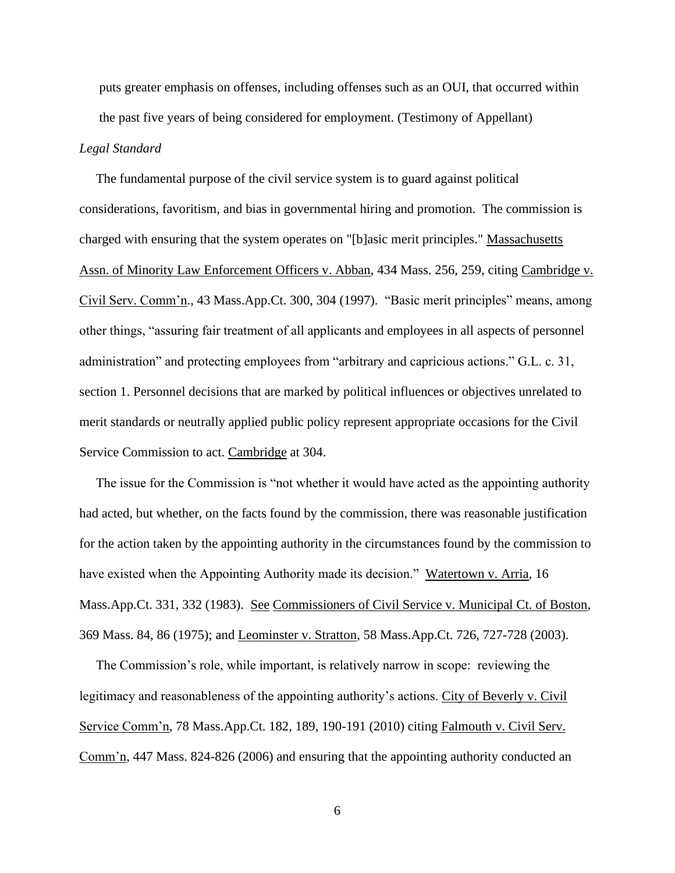puts greater emphasis on offenses, including offenses such as an OUI, that occurred within the past five years of being considered for employment. (Testimony of Appellant) *Legal Standard*

 The fundamental purpose of the civil service system is to guard against political considerations, favoritism, and bias in governmental hiring and promotion. The commission is charged with ensuring that the system operates on "[b]asic merit principles." Massachusetts Assn. of Minority Law Enforcement Officers v. Abban, 434 Mass. 256, 259, citing Cambridge v. Civil Serv. Comm'n., 43 Mass.App.Ct. 300, 304 (1997). "Basic merit principles" means, among other things, "assuring fair treatment of all applicants and employees in all aspects of personnel administration" and protecting employees from "arbitrary and capricious actions." G.L. c. 31, section 1. Personnel decisions that are marked by political influences or objectives unrelated to merit standards or neutrally applied public policy represent appropriate occasions for the Civil Service Commission to act. Cambridge at 304.

 The issue for the Commission is "not whether it would have acted as the appointing authority had acted, but whether, on the facts found by the commission, there was reasonable justification for the action taken by the appointing authority in the circumstances found by the commission to have existed when the Appointing Authority made its decision." Watertown v. Arria, 16 Mass.App.Ct. 331, 332 (1983). See Commissioners of Civil Service v. Municipal Ct. of Boston, 369 Mass. 84, 86 (1975); and Leominster v. Stratton, 58 Mass.App.Ct. 726, 727-728 (2003).

 The Commission's role, while important, is relatively narrow in scope: reviewing the legitimacy and reasonableness of the appointing authority's actions. City of Beverly v. Civil Service Comm'n, 78 Mass.App.Ct. 182, 189, 190-191 (2010) citing Falmouth v. Civil Serv. Comm'n, 447 Mass. 824-826 (2006) and ensuring that the appointing authority conducted an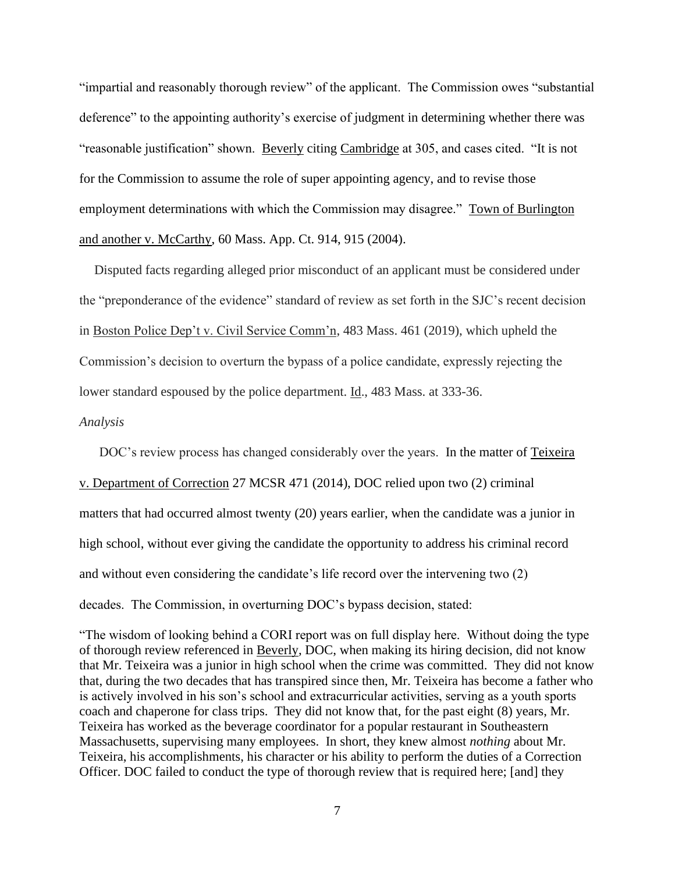"impartial and reasonably thorough review" of the applicant. The Commission owes "substantial deference" to the appointing authority's exercise of judgment in determining whether there was "reasonable justification" shown. Beverly citing Cambridge at 305, and cases cited. "It is not for the Commission to assume the role of super appointing agency, and to revise those employment determinations with which the Commission may disagree." Town of Burlington and another v. McCarthy, 60 Mass. App. Ct. 914, 915 (2004).

Disputed facts regarding alleged prior misconduct of an applicant must be considered under the "preponderance of the evidence" standard of review as set forth in the SJC's recent decision in Boston Police Dep't v. Civil Service Comm'n, 483 Mass. 461 (2019), which upheld the Commission's decision to overturn the bypass of a police candidate, expressly rejecting the lower standard espoused by the police department. Id., 483 Mass. at 333-36.

#### *Analysis*

DOC's review process has changed considerably over the years. In the matter of Teixeira v. Department of Correction 27 MCSR 471 (2014), DOC relied upon two (2) criminal matters that had occurred almost twenty (20) years earlier, when the candidate was a junior in high school, without ever giving the candidate the opportunity to address his criminal record and without even considering the candidate's life record over the intervening two (2) decades. The Commission, in overturning DOC's bypass decision, stated:

"The wisdom of looking behind a CORI report was on full display here. Without doing the type of thorough review referenced in Beverly, DOC, when making its hiring decision, did not know that Mr. Teixeira was a junior in high school when the crime was committed. They did not know that, during the two decades that has transpired since then, Mr. Teixeira has become a father who is actively involved in his son's school and extracurricular activities, serving as a youth sports coach and chaperone for class trips. They did not know that, for the past eight (8) years, Mr. Teixeira has worked as the beverage coordinator for a popular restaurant in Southeastern Massachusetts, supervising many employees. In short, they knew almost *nothing* about Mr. Teixeira, his accomplishments, his character or his ability to perform the duties of a Correction Officer. DOC failed to conduct the type of thorough review that is required here; [and] they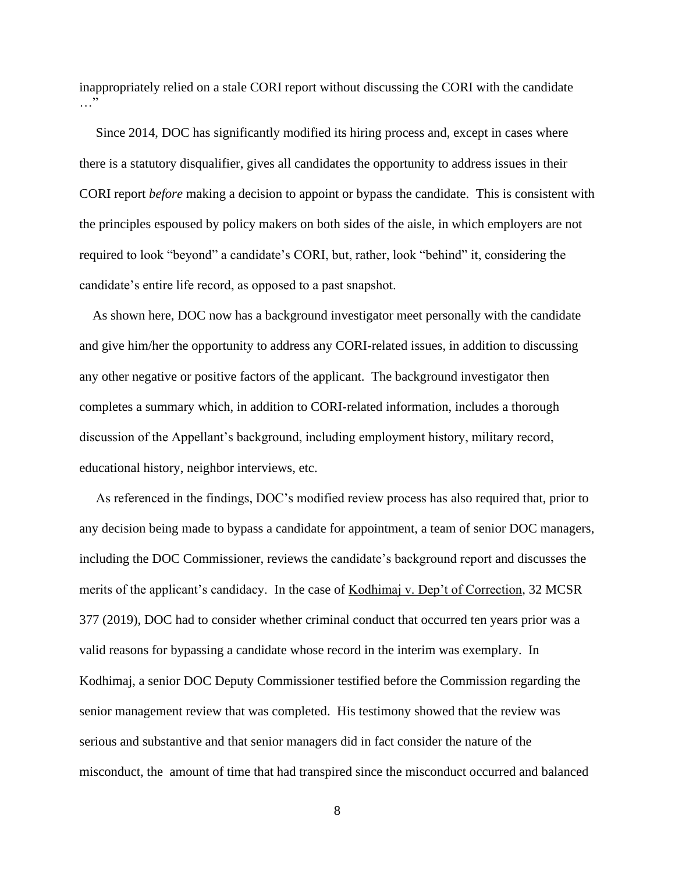inappropriately relied on a stale CORI report without discussing the CORI with the candidate  $\overline{\mathbf{E}}$ 

 Since 2014, DOC has significantly modified its hiring process and, except in cases where there is a statutory disqualifier, gives all candidates the opportunity to address issues in their CORI report *before* making a decision to appoint or bypass the candidate. This is consistent with the principles espoused by policy makers on both sides of the aisle, in which employers are not required to look "beyond" a candidate's CORI, but, rather, look "behind" it, considering the candidate's entire life record, as opposed to a past snapshot.

 As shown here, DOC now has a background investigator meet personally with the candidate and give him/her the opportunity to address any CORI-related issues, in addition to discussing any other negative or positive factors of the applicant. The background investigator then completes a summary which, in addition to CORI-related information, includes a thorough discussion of the Appellant's background, including employment history, military record, educational history, neighbor interviews, etc.

 As referenced in the findings, DOC's modified review process has also required that, prior to any decision being made to bypass a candidate for appointment, a team of senior DOC managers, including the DOC Commissioner, reviews the candidate's background report and discusses the merits of the applicant's candidacy. In the case of Kodhimaj v. Dep't of Correction, 32 MCSR 377 (2019), DOC had to consider whether criminal conduct that occurred ten years prior was a valid reasons for bypassing a candidate whose record in the interim was exemplary. In Kodhimaj, a senior DOC Deputy Commissioner testified before the Commission regarding the senior management review that was completed. His testimony showed that the review was serious and substantive and that senior managers did in fact consider the nature of the misconduct, the amount of time that had transpired since the misconduct occurred and balanced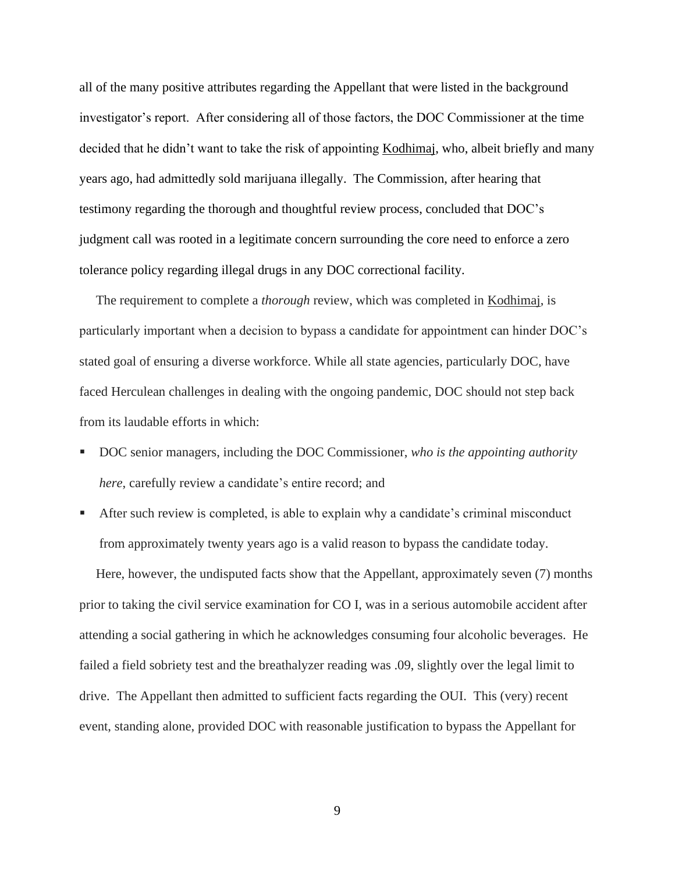all of the many positive attributes regarding the Appellant that were listed in the background investigator's report. After considering all of those factors, the DOC Commissioner at the time decided that he didn't want to take the risk of appointing Kodhimaj, who, albeit briefly and many years ago, had admittedly sold marijuana illegally. The Commission, after hearing that testimony regarding the thorough and thoughtful review process, concluded that DOC's judgment call was rooted in a legitimate concern surrounding the core need to enforce a zero tolerance policy regarding illegal drugs in any DOC correctional facility.

 The requirement to complete a *thorough* review, which was completed in Kodhimaj, is particularly important when a decision to bypass a candidate for appointment can hinder DOC's stated goal of ensuring a diverse workforce. While all state agencies, particularly DOC, have faced Herculean challenges in dealing with the ongoing pandemic, DOC should not step back from its laudable efforts in which:

- DOC senior managers, including the DOC Commissioner, *who is the appointing authority here*, carefully review a candidate's entire record; and
- After such review is completed, is able to explain why a candidate's criminal misconduct from approximately twenty years ago is a valid reason to bypass the candidate today.

 Here, however, the undisputed facts show that the Appellant, approximately seven (7) months prior to taking the civil service examination for CO I, was in a serious automobile accident after attending a social gathering in which he acknowledges consuming four alcoholic beverages. He failed a field sobriety test and the breathalyzer reading was .09, slightly over the legal limit to drive. The Appellant then admitted to sufficient facts regarding the OUI. This (very) recent event, standing alone, provided DOC with reasonable justification to bypass the Appellant for